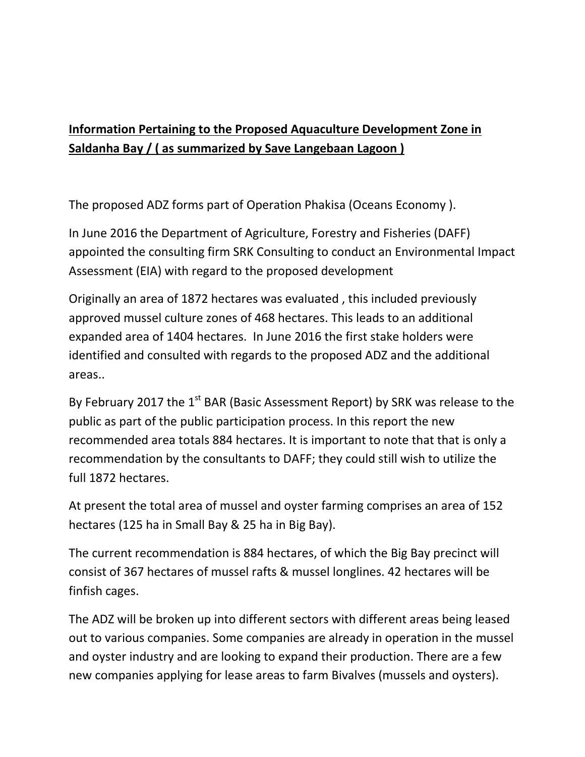## **Information Pertaining to the Proposed Aquaculture Development Zone in Saldanha Bay / ( as summarized by Save Langebaan Lagoon )**

The proposed ADZ forms part of Operation Phakisa (Oceans Economy ).

In June 2016 the Department of Agriculture, Forestry and Fisheries (DAFF) appointed the consulting firm SRK Consulting to conduct an Environmental Impact Assessment (EIA) with regard to the proposed development

Originally an area of 1872 hectares was evaluated , this included previously approved mussel culture zones of 468 hectares. This leads to an additional expanded area of 1404 hectares. In June 2016 the first stake holders were identified and consulted with regards to the proposed ADZ and the additional areas..

By February 2017 the  $1^{st}$  BAR (Basic Assessment Report) by SRK was release to the public as part of the public participation process. In this report the new recommended area totals 884 hectares. It is important to note that that is only a recommendation by the consultants to DAFF; they could still wish to utilize the full 1872 hectares.

At present the total area of mussel and oyster farming comprises an area of 152 hectares (125 ha in Small Bay & 25 ha in Big Bay).

The current recommendation is 884 hectares, of which the Big Bay precinct will consist of 367 hectares of mussel rafts & mussel longlines. 42 hectares will be finfish cages.

The ADZ will be broken up into different sectors with different areas being leased out to various companies. Some companies are already in operation in the mussel and oyster industry and are looking to expand their production. There are a few new companies applying for lease areas to farm Bivalves (mussels and oysters).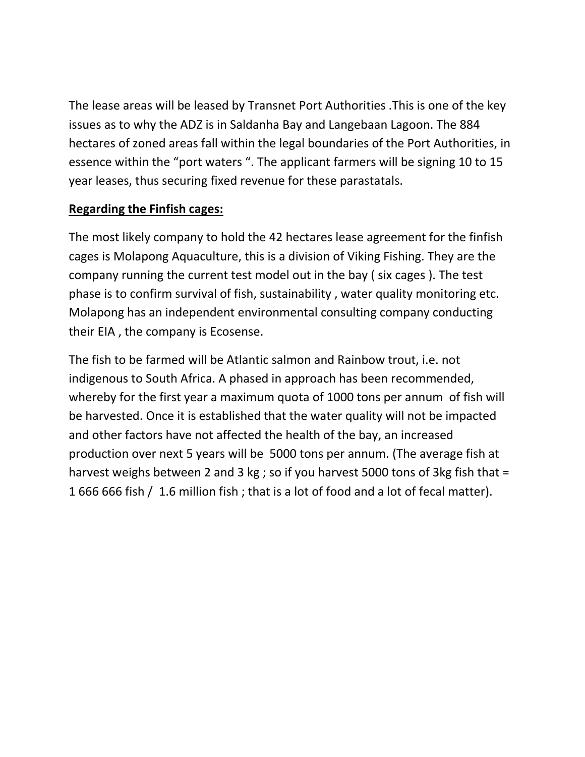The lease areas will be leased by Transnet Port Authorities .This is one of the key issues as to why the ADZ is in Saldanha Bay and Langebaan Lagoon. The 884 hectares of zoned areas fall within the legal boundaries of the Port Authorities, in essence within the "port waters ". The applicant farmers will be signing 10 to 15 year leases, thus securing fixed revenue for these parastatals.

## **Regarding the Finfish cages:**

The most likely company to hold the 42 hectares lease agreement for the finfish cages is Molapong Aquaculture, this is a division of Viking Fishing. They are the company running the current test model out in the bay ( six cages ). The test phase is to confirm survival of fish, sustainability , water quality monitoring etc. Molapong has an independent environmental consulting company conducting their EIA , the company is Ecosense.

The fish to be farmed will be Atlantic salmon and Rainbow trout, i.e. not indigenous to South Africa. A phased in approach has been recommended, whereby for the first year a maximum quota of 1000 tons per annum of fish will be harvested. Once it is established that the water quality will not be impacted and other factors have not affected the health of the bay, an increased production over next 5 years will be 5000 tons per annum. (The average fish at harvest weighs between 2 and 3 kg ; so if you harvest 5000 tons of 3kg fish that = 1 666 666 fish / 1.6 million fish ; that is a lot of food and a lot of fecal matter).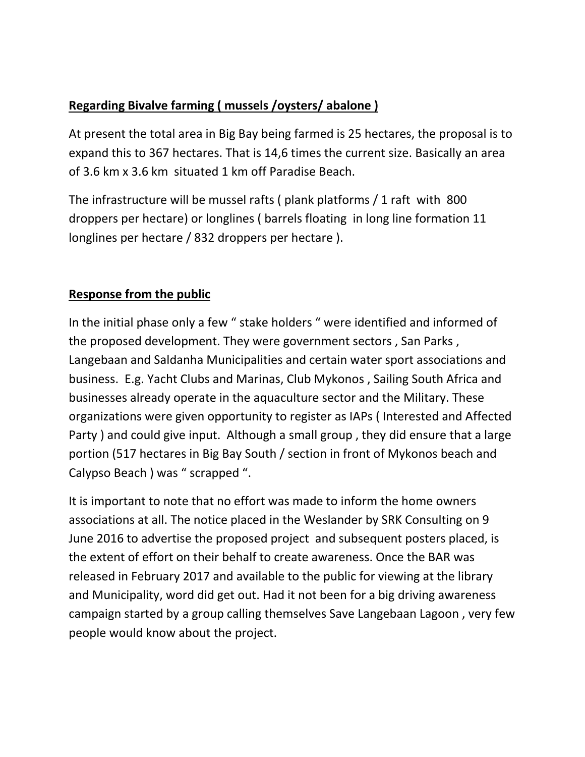## **Regarding Bivalve farming ( mussels /oysters/ abalone )**

At present the total area in Big Bay being farmed is 25 hectares, the proposal is to expand this to 367 hectares. That is 14,6 times the current size. Basically an area of 3.6 km x 3.6 km situated 1 km off Paradise Beach.

The infrastructure will be mussel rafts ( plank platforms / 1 raft with 800 droppers per hectare) or longlines ( barrels floating in long line formation 11 longlines per hectare / 832 droppers per hectare ).

## **Response from the public**

In the initial phase only a few " stake holders " were identified and informed of the proposed development. They were government sectors , San Parks , Langebaan and Saldanha Municipalities and certain water sport associations and business. E.g. Yacht Clubs and Marinas, Club Mykonos , Sailing South Africa and businesses already operate in the aquaculture sector and the Military. These organizations were given opportunity to register as IAPs ( Interested and Affected Party ) and could give input. Although a small group , they did ensure that a large portion (517 hectares in Big Bay South / section in front of Mykonos beach and Calypso Beach ) was " scrapped ".

It is important to note that no effort was made to inform the home owners associations at all. The notice placed in the Weslander by SRK Consulting on 9 June 2016 to advertise the proposed project and subsequent posters placed, is the extent of effort on their behalf to create awareness. Once the BAR was released in February 2017 and available to the public for viewing at the library and Municipality, word did get out. Had it not been for a big driving awareness campaign started by a group calling themselves Save Langebaan Lagoon , very few people would know about the project.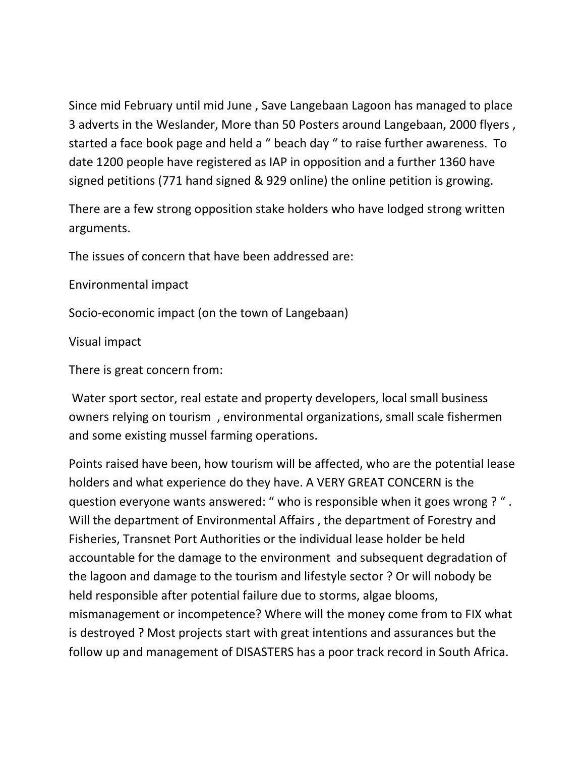Since mid February until mid June , Save Langebaan Lagoon has managed to place 3 adverts in the Weslander, More than 50 Posters around Langebaan, 2000 flyers , started a face book page and held a " beach day " to raise further awareness. To date 1200 people have registered as IAP in opposition and a further 1360 have signed petitions (771 hand signed & 929 online) the online petition is growing.

There are a few strong opposition stake holders who have lodged strong written arguments.

The issues of concern that have been addressed are:

Environmental impact

Socio-economic impact (on the town of Langebaan)

Visual impact

There is great concern from:

 Water sport sector, real estate and property developers, local small business owners relying on tourism , environmental organizations, small scale fishermen and some existing mussel farming operations.

Points raised have been, how tourism will be affected, who are the potential lease holders and what experience do they have. A VERY GREAT CONCERN is the question everyone wants answered: " who is responsible when it goes wrong ? " . Will the department of Environmental Affairs , the department of Forestry and Fisheries, Transnet Port Authorities or the individual lease holder be held accountable for the damage to the environment and subsequent degradation of the lagoon and damage to the tourism and lifestyle sector ? Or will nobody be held responsible after potential failure due to storms, algae blooms, mismanagement or incompetence? Where will the money come from to FIX what is destroyed ? Most projects start with great intentions and assurances but the follow up and management of DISASTERS has a poor track record in South Africa.